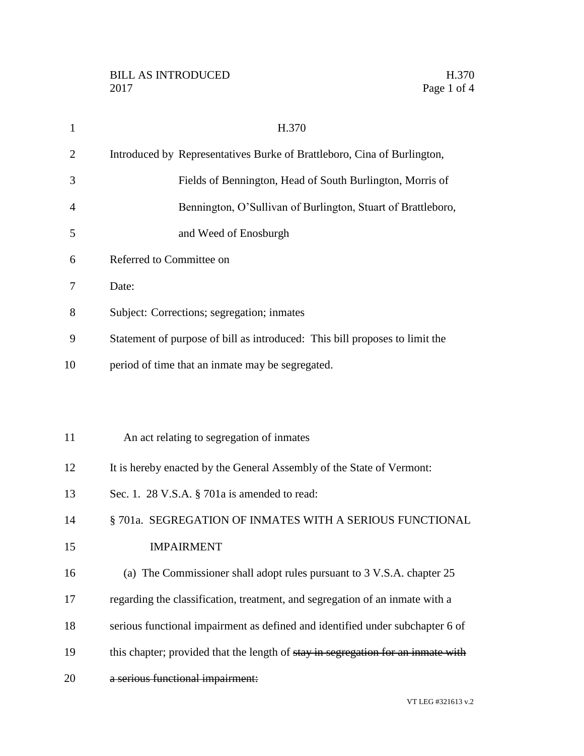| $\mathbf{1}$   | H.370                                                                            |
|----------------|----------------------------------------------------------------------------------|
| $\overline{2}$ | Introduced by Representatives Burke of Brattleboro, Cina of Burlington,          |
| 3              | Fields of Bennington, Head of South Burlington, Morris of                        |
| 4              | Bennington, O'Sullivan of Burlington, Stuart of Brattleboro,                     |
| 5              | and Weed of Enosburgh                                                            |
| 6              | Referred to Committee on                                                         |
| 7              | Date:                                                                            |
| 8              | Subject: Corrections; segregation; inmates                                       |
| 9              | Statement of purpose of bill as introduced: This bill proposes to limit the      |
| 10             | period of time that an inmate may be segregated.                                 |
|                |                                                                                  |
|                |                                                                                  |
| 11             | An act relating to segregation of inmates                                        |
| 12             | It is hereby enacted by the General Assembly of the State of Vermont:            |
| 13             | Sec. 1. 28 V.S.A. § 701a is amended to read:                                     |
| 14             | § 701a. SEGREGATION OF INMATES WITH A SERIOUS FUNCTIONAL                         |
| 15             | <b>IMPAIRMENT</b>                                                                |
| 16             | (a) The Commissioner shall adopt rules pursuant to 3 V.S.A. chapter 25           |
| 17             | regarding the classification, treatment, and segregation of an inmate with a     |
| 18             | serious functional impairment as defined and identified under subchapter 6 of    |
| 19             | this chapter; provided that the length of stay in segregation for an inmate with |
| 20             | a serious functional impairment:                                                 |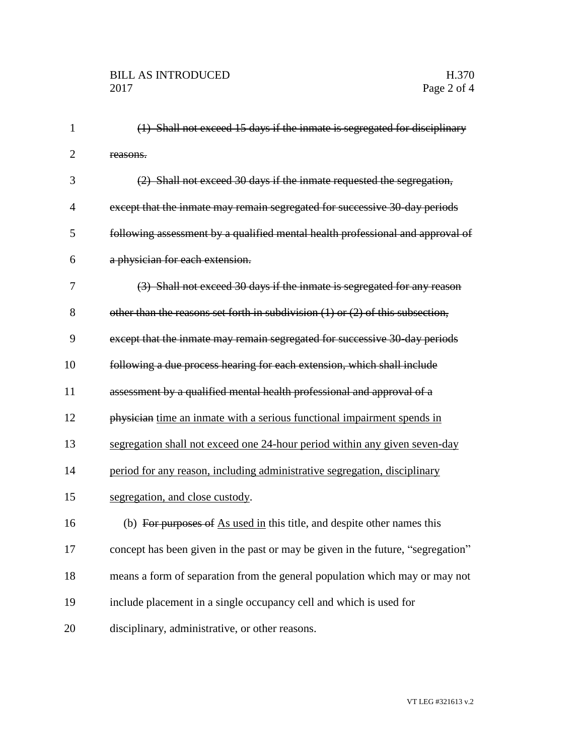| $\mathbf{1}$   | (1) Shall not exceed 15 days if the inmate is segregated for disciplinary          |
|----------------|------------------------------------------------------------------------------------|
| $\overline{2}$ | reasons.                                                                           |
| 3              | (2) Shall not exceed 30 days if the inmate requested the segregation,              |
| 4              | except that the inmate may remain segregated for successive 30-day periods         |
| 5              | following assessment by a qualified mental health professional and approval of     |
| 6              | a physician for each extension.                                                    |
| 7              | (3) Shall not exceed 30 days if the inmate is segregated for any reason            |
| 8              | other than the reasons set forth in subdivision $(1)$ or $(2)$ of this subsection, |
| 9              | except that the inmate may remain segregated for successive 30-day periods         |
| 10             | following a due process hearing for each extension, which shall include            |
| 11             | assessment by a qualified mental health professional and approval of a             |
| 12             | physician time an inmate with a serious functional impairment spends in            |
| 13             | segregation shall not exceed one 24-hour period within any given seven-day         |
| 14             | period for any reason, including administrative segregation, disciplinary          |
| 15             | segregation, and close custody.                                                    |
| 16             | (b) For purposes of As used in this title, and despite other names this            |
| 17             | concept has been given in the past or may be given in the future, "segregation"    |
| 18             | means a form of separation from the general population which may or may not        |
| 19             | include placement in a single occupancy cell and which is used for                 |
| 20             | disciplinary, administrative, or other reasons.                                    |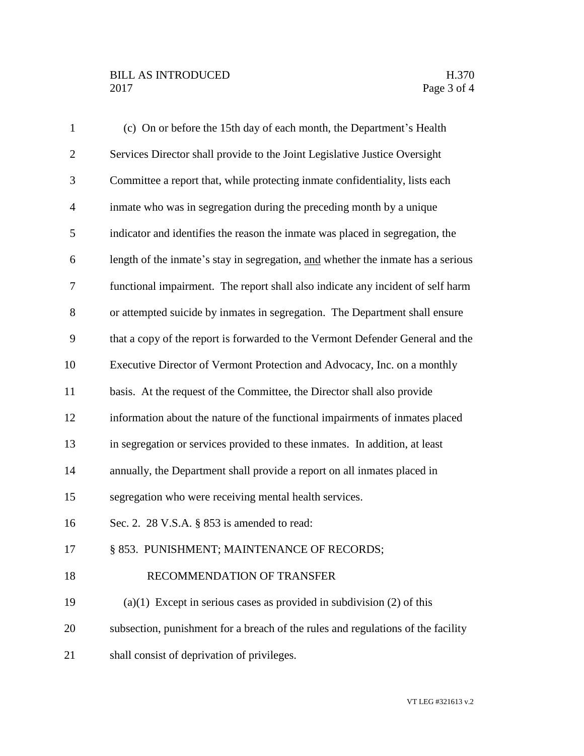## BILL AS INTRODUCED H.370 Page 3 of 4

| $\mathbf{1}$   | (c) On or before the 15th day of each month, the Department's Health             |
|----------------|----------------------------------------------------------------------------------|
| $\overline{2}$ | Services Director shall provide to the Joint Legislative Justice Oversight       |
| 3              | Committee a report that, while protecting inmate confidentiality, lists each     |
| $\overline{4}$ | inmate who was in segregation during the preceding month by a unique             |
| 5              | indicator and identifies the reason the inmate was placed in segregation, the    |
| 6              | length of the inmate's stay in segregation, and whether the inmate has a serious |
| $\overline{7}$ | functional impairment. The report shall also indicate any incident of self harm  |
| 8              | or attempted suicide by inmates in segregation. The Department shall ensure      |
| 9              | that a copy of the report is forwarded to the Vermont Defender General and the   |
| 10             | Executive Director of Vermont Protection and Advocacy, Inc. on a monthly         |
| 11             | basis. At the request of the Committee, the Director shall also provide          |
| 12             | information about the nature of the functional impairments of inmates placed     |
| 13             | in segregation or services provided to these inmates. In addition, at least      |
| 14             | annually, the Department shall provide a report on all inmates placed in         |
| 15             | segregation who were receiving mental health services.                           |
| 16             | Sec. 2. 28 V.S.A. § 853 is amended to read:                                      |
| 17             | § 853. PUNISHMENT; MAINTENANCE OF RECORDS;                                       |
| 18             | RECOMMENDATION OF TRANSFER                                                       |
| 19             | $(a)(1)$ Except in serious cases as provided in subdivision $(2)$ of this        |
| 20             | subsection, punishment for a breach of the rules and regulations of the facility |
| 21             | shall consist of deprivation of privileges.                                      |